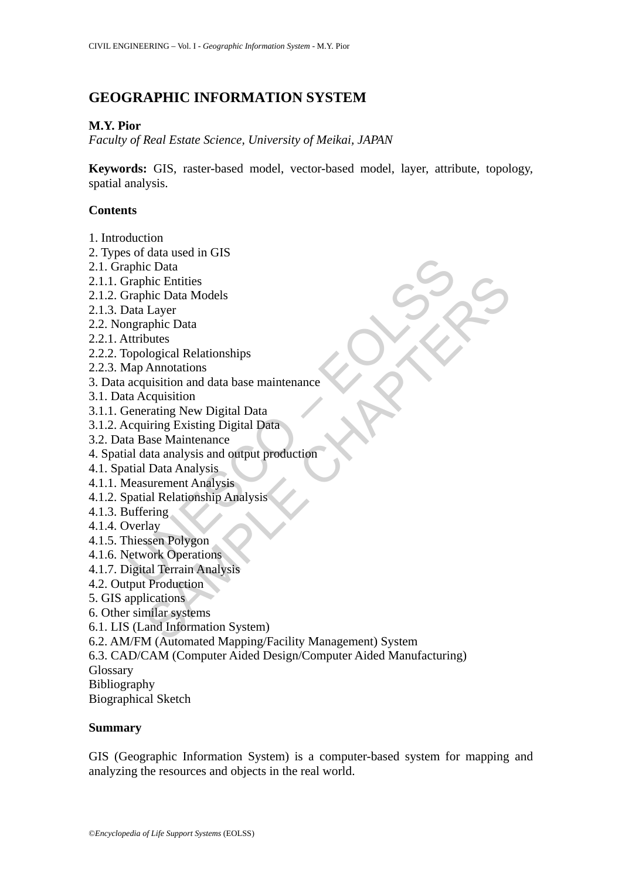# **GEOGRAPHIC INFORMATION SYSTEM**

## **M.Y. Pior**

*Faculty of Real Estate Science, University of Meikai, JAPAN* 

**Keywords:** GIS, raster-based model, vector-based model, layer, attribute, topology, spatial analysis.

### **Contents**

- 1. Introduction
- 2. Types of data used in GIS
- 2.1. Graphic Data
- 2.1.1. Graphic Entities
- 2.1.2. Graphic Data Models
- 2.1.3. Data Layer
- 2.2. Nongraphic Data
- 2.2.1. Attributes
- 2.2.2. Topological Relationships
- 2.2.3. Map Annotations
- Fraphic Data<br>
inphic Data<br>
iraphic Entities<br>
iraphic Data<br>
Intributes<br>
Interbutes<br>
propological Relationships<br>
acquisition<br>
acquisition and data base maintenance<br>
ca Acquisition<br>
carring New Digital Data<br>
capiring Existing blic Data<br>
I Layer<br>
Layer<br>
I Layer<br>
I Layer<br>
aphic Data<br>
aphic Data<br>
aphic Data<br>
blues<br>
ological Relationships<br>
utisition and data base maintenance<br>
cacquisition<br>
in That Analysis<br>
axac Maintenance<br>
lata analysis and outpu 3. Data acquisition and data base maintenance
- 3.1. Data Acquisition
- 3.1.1. Generating New Digital Data
- 3.1.2. Acquiring Existing Digital Data
- 3.2. Data Base Maintenance
- 4. Spatial data analysis and output production
- 4.1. Spatial Data Analysis
- 4.1.1. Measurement Analysis
- 4.1.2. Spatial Relationship Analysis
- 4.1.3. Buffering
- 4.1.4. Overlay
- 4.1.5. Thiessen Polygon
- 4.1.6. Network Operations
- 4.1.7. Digital Terrain Analysis
- 4.2. Output Production
- 5. GIS applications
- 6. Other similar systems
- 6.1. LIS (Land Information System)
- 6.2. AM/FM (Automated Mapping/Facility Management) System
- 6.3. CAD/CAM (Computer Aided Design/Computer Aided Manufacturing)
- Glossary
- Bibliography

Biographical Sketch

#### **Summary**

GIS (Geographic Information System) is a computer-based system for mapping and analyzing the resources and objects in the real world.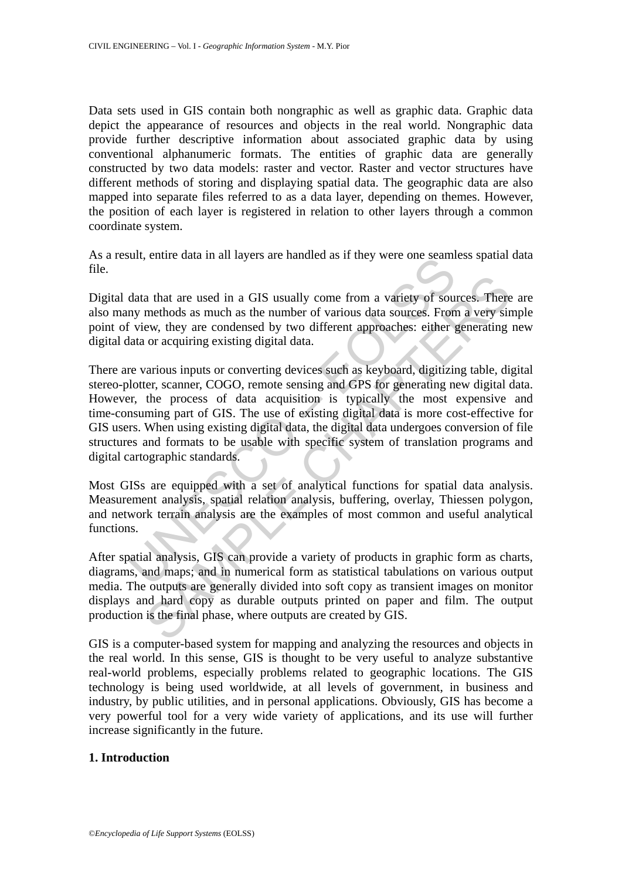Data sets used in GIS contain both nongraphic as well as graphic data. Graphic data depict the appearance of resources and objects in the real world. Nongraphic data provide further descriptive information about associated graphic data by using conventional alphanumeric formats. The entities of graphic data are generally constructed by two data models: raster and vector. Raster and vector structures have different methods of storing and displaying spatial data. The geographic data are also mapped into separate files referred to as a data layer, depending on themes. However, the position of each layer is registered in relation to other layers through a common coordinate system.

As a result, entire data in all layers are handled as if they were one seamless spatial data file.

Digital data that are used in a GIS usually come from a variety of sources. There are also many methods as much as the number of various data sources. From a very simple point of view, they are condensed by two different approaches: either generating new digital data or acquiring existing digital data.

Statian analysis, spatial relation analysis and the statistical tables is the statistical conditions, and the statistical conditions and the statistic energy with the process of view, they are condensed by two different ap a that are used in a GIS usually come from a variety of sources. Then<br>methods as much as the number of various data sources. From a very sir<br>ew, they are condensed by two different approaches: either generating<br>or or acqui There are various inputs or converting devices such as keyboard, digitizing table, digital stereo-plotter, scanner, COGO, remote sensing and GPS for generating new digital data. However, the process of data acquisition is typically the most expensive and time-consuming part of GIS. The use of existing digital data is more cost-effective for GIS users. When using existing digital data, the digital data undergoes conversion of file structures and formats to be usable with specific system of translation programs and digital cartographic standards.

Most GISs are equipped with a set of analytical functions for spatial data analysis. Measurement analysis, spatial relation analysis, buffering, overlay, Thiessen polygon, and network terrain analysis are the examples of most common and useful analytical functions.

After spatial analysis, GIS can provide a variety of products in graphic form as charts, diagrams, and maps; and in numerical form as statistical tabulations on various output media. The outputs are generally divided into soft copy as transient images on monitor displays and hard copy as durable outputs printed on paper and film. The output production is the final phase, where outputs are created by GIS.

GIS is a computer-based system for mapping and analyzing the resources and objects in the real world. In this sense, GIS is thought to be very useful to analyze substantive real-world problems, especially problems related to geographic locations. The GIS technology is being used worldwide, at all levels of government, in business and industry, by public utilities, and in personal applications. Obviously, GIS has become a very powerful tool for a very wide variety of applications, and its use will further increase significantly in the future.

## **1. Introduction**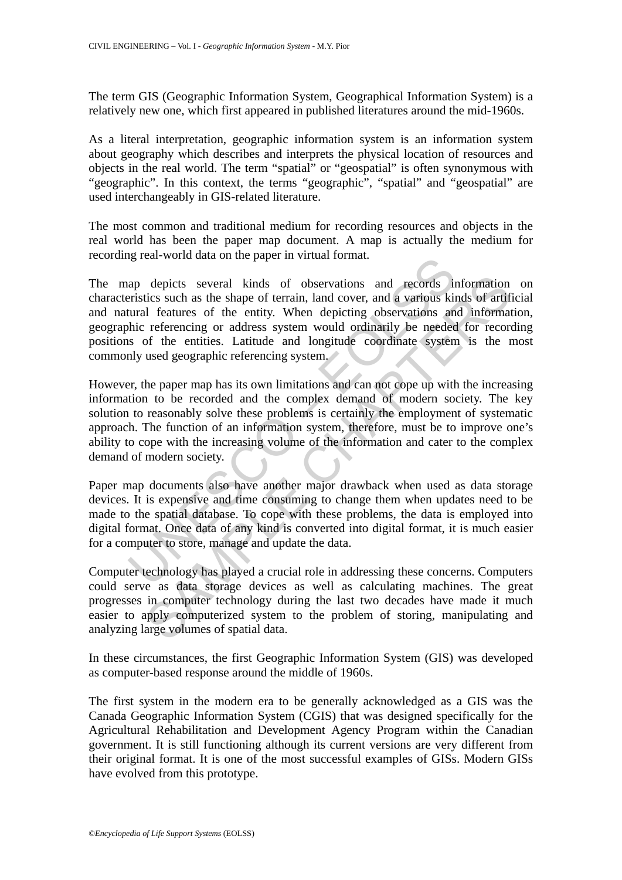The term GIS (Geographic Information System, Geographical Information System) is a relatively new one, which first appeared in published literatures around the mid-1960s.

As a literal interpretation, geographic information system is an information system about geography which describes and interprets the physical location of resources and objects in the real world. The term "spatial" or "geospatial" is often synonymous with "geographic". In this context, the terms "geographic", "spatial" and "geospatial" are used interchangeably in GIS-related literature.

The most common and traditional medium for recording resources and objects in the real world has been the paper map document. A map is actually the medium for recording real-world data on the paper in virtual format.

and determined and the paper in virtual formation.<br>
ap depicts several kinds of observations and records in the seriestics such as the shape of terrain, land cover, and a various kindual features of the entities. Untitlue depicts several kinds of observations and records information<br>tics such as the shape of terrain, land cover, and a various kinds of artif<br>I catures of the entity. When depicting observations and information<br>referencing or The map depicts several kinds of observations and records information on characteristics such as the shape of terrain, land cover, and a various kinds of artificial and natural features of the entity. When depicting observations and information, geographic referencing or address system would ordinarily be needed for recording positions of the entities. Latitude and longitude coordinate system is the most commonly used geographic referencing system.

However, the paper map has its own limitations and can not cope up with the increasing information to be recorded and the complex demand of modern society. The key solution to reasonably solve these problems is certainly the employment of systematic approach. The function of an information system, therefore, must be to improve one's ability to cope with the increasing volume of the information and cater to the complex demand of modern society.

Paper map documents also have another major drawback when used as data storage devices. It is expensive and time consuming to change them when updates need to be made to the spatial database. To cope with these problems, the data is employed into digital format. Once data of any kind is converted into digital format, it is much easier for a computer to store, manage and update the data.

Computer technology has played a crucial role in addressing these concerns. Computers could serve as data storage devices as well as calculating machines. The great progresses in computer technology during the last two decades have made it much easier to apply computerized system to the problem of storing, manipulating and analyzing large volumes of spatial data.

In these circumstances, the first Geographic Information System (GIS) was developed as computer-based response around the middle of 1960s.

The first system in the modern era to be generally acknowledged as a GIS was the Canada Geographic Information System (CGIS) that was designed specifically for the Agricultural Rehabilitation and Development Agency Program within the Canadian government. It is still functioning although its current versions are very different from their original format. It is one of the most successful examples of GISs. Modern GISs have evolved from this prototype.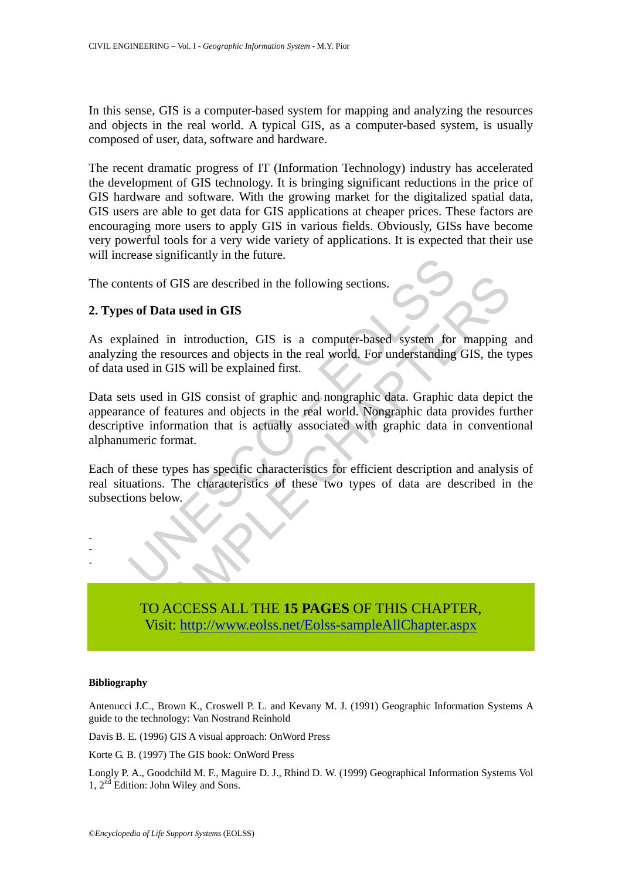In this sense, GIS is a computer-based system for mapping and analyzing the resources and objects in the real world. A typical GIS, as a computer-based system, is usually composed of user, data, software and hardware.

The recent dramatic progress of IT (Information Technology) industry has accelerated the development of GIS technology. It is bringing significant reductions in the price of GIS hardware and software. With the growing market for the digitalized spatial data, GIS users are able to get data for GIS applications at cheaper prices. These factors are encouraging more users to apply GIS in various fields. Obviously, GISs have become very powerful tools for a very wide variety of applications. It is expected that their use will increase significantly in the future.

The contents of GIS are described in the following sections.

### **2. Types of Data used in GIS**

As explained in introduction. GIS is a computer-based system for mapping and analyzing the resources and objects in the real world. For understanding GIS, the types of data used in GIS will be explained first.

rease sigminamity in the future.<br>
Ments of GIS are described in the following sections.<br> **Sof Data used in GIS**<br>
lained in introduction, GIS is a computer-based system for<br>
para the resources and objects in the real world. It is of GIS are described in the following sections.<br> **[SA](https://www.eolss.net/ebooklib/sc_cart.aspx?File=E6-37-02-05)MPLE CHAPTER CHAPTER CONCERNM**<br>
The resources and objects in the real world, For understanding GIS, the type of in GIS will be explained first.<br>
Sample in GIS consi Data sets used in GIS consist of graphic and nongraphic data. Graphic data depict the appearance of features and objects in the real world. Nongraphic data provides further descriptive information that is actually associated with graphic data in conventional alphanumeric format.

Each of these types has specific characteristics for efficient description and analysis of real situations. The characteristics of these two types of data are described in the subsections below.



#### **Bibliography**

- - -

Antenucci J.C., Brown K., Croswell P. L. and Kevany M. J. (1991) Geographic Information Systems A guide to the technology: Van Nostrand Reinhold

Davis B. E. (1996) GIS A visual approach: OnWord Press

Korte G. B. (1997) The GIS book: OnWord Press

Longly P. A., Goodchild M. F., Maguire D. J., Rhind D. W. (1999) Geographical Information Systems Vol 1, 2<sup>nd</sup> Edition: John Wiley and Sons.